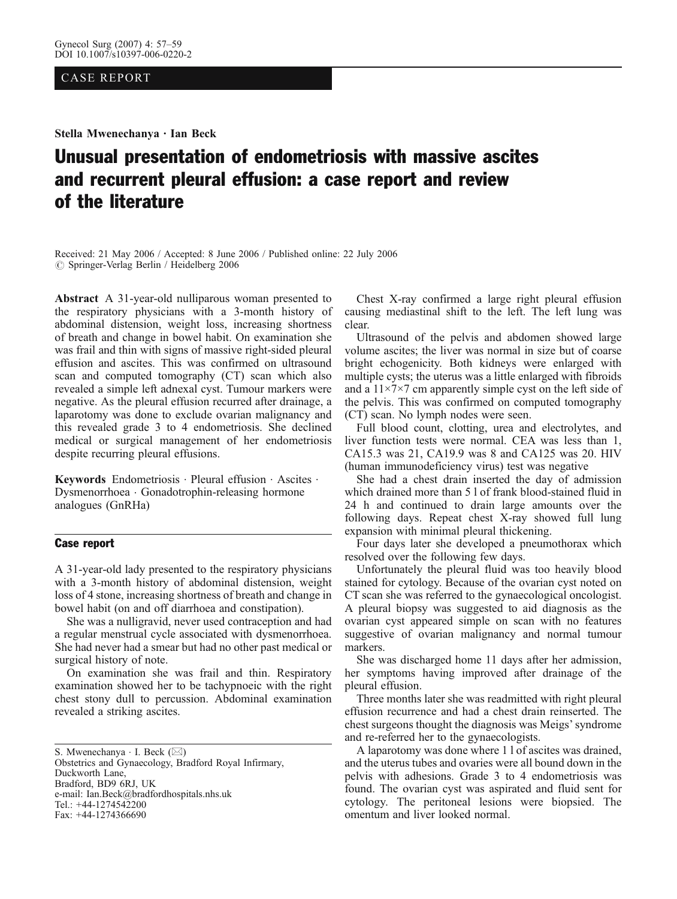### CASE REPORT

Stella Mwenechanya . Ian Beck

# Unusual presentation of endometriosis with massive ascites and recurrent pleural effusion: a case report and review of the literature

Received: 21 May 2006 / Accepted: 8 June 2006 / Published online: 22 July 2006  $\odot$  Springer-Verlag Berlin / Heidelberg 2006

Abstract A 31-year-old nulliparous woman presented to the respiratory physicians with a 3-month history of abdominal distension, weight loss, increasing shortness of breath and change in bowel habit. On examination she was frail and thin with signs of massive right-sided pleural effusion and ascites. This was confirmed on ultrasound scan and computed tomography (CT) scan which also revealed a simple left adnexal cyst. Tumour markers were negative. As the pleural effusion recurred after drainage, a laparotomy was done to exclude ovarian malignancy and this revealed grade 3 to 4 endometriosis. She declined medical or surgical management of her endometriosis despite recurring pleural effusions.

Keywords Endometriosis · Pleural effusion · Ascites · Dysmenorrhoea . Gonadotrophin-releasing hormone analogues (GnRHa)

# Case report

A 31-year-old lady presented to the respiratory physicians with a 3-month history of abdominal distension, weight loss of 4 stone, increasing shortness of breath and change in bowel habit (on and off diarrhoea and constipation).

She was a nulligravid, never used contraception and had a regular menstrual cycle associated with dysmenorrhoea. She had never had a smear but had no other past medical or surgical history of note.

On examination she was frail and thin. Respiratory examination showed her to be tachypnoeic with the right chest stony dull to percussion. Abdominal examination revealed a striking ascites.

Obstetrics and Gynaecology, Bradford Royal Infirmary, Duckworth Lane, Bradford, BD9 6RJ, UK e-mail: Ian.Beck@bradfordhospitals.nhs.uk Tel.: +44-1274542200 Fax: +44-1274366690

Chest X-ray confirmed a large right pleural effusion causing mediastinal shift to the left. The left lung was clear.

Ultrasound of the pelvis and abdomen showed large volume ascites; the liver was normal in size but of coarse bright echogenicity. Both kidneys were enlarged with multiple cysts; the uterus was a little enlarged with fibroids and a  $11\times7\times7$  cm apparently simple cyst on the left side of the pelvis. This was confirmed on computed tomography (CT) scan. No lymph nodes were seen.

Full blood count, clotting, urea and electrolytes, and liver function tests were normal. CEA was less than 1, CA15.3 was 21, CA19.9 was 8 and CA125 was 20. HIV (human immunodeficiency virus) test was negative

She had a chest drain inserted the day of admission which drained more than 5 l of frank blood-stained fluid in 24 h and continued to drain large amounts over the following days. Repeat chest X-ray showed full lung expansion with minimal pleural thickening.

Four days later she developed a pneumothorax which resolved over the following few days.

Unfortunately the pleural fluid was too heavily blood stained for cytology. Because of the ovarian cyst noted on CT scan she was referred to the gynaecological oncologist. A pleural biopsy was suggested to aid diagnosis as the ovarian cyst appeared simple on scan with no features suggestive of ovarian malignancy and normal tumour markers.

She was discharged home 11 days after her admission, her symptoms having improved after drainage of the pleural effusion.

Three months later she was readmitted with right pleural effusion recurrence and had a chest drain reinserted. The chest surgeons thought the diagnosis was Meigs'syndrome and re-referred her to the gynaecologists.

A laparotomy was done where 1 l of ascites was drained, and the uterus tubes and ovaries were all bound down in the pelvis with adhesions. Grade 3 to 4 endometriosis was found. The ovarian cyst was aspirated and fluid sent for cytology. The peritoneal lesions were biopsied. The omentum and liver looked normal.

S. Mwenechanya  $\cdot$  I. Beck ( $\boxtimes$ )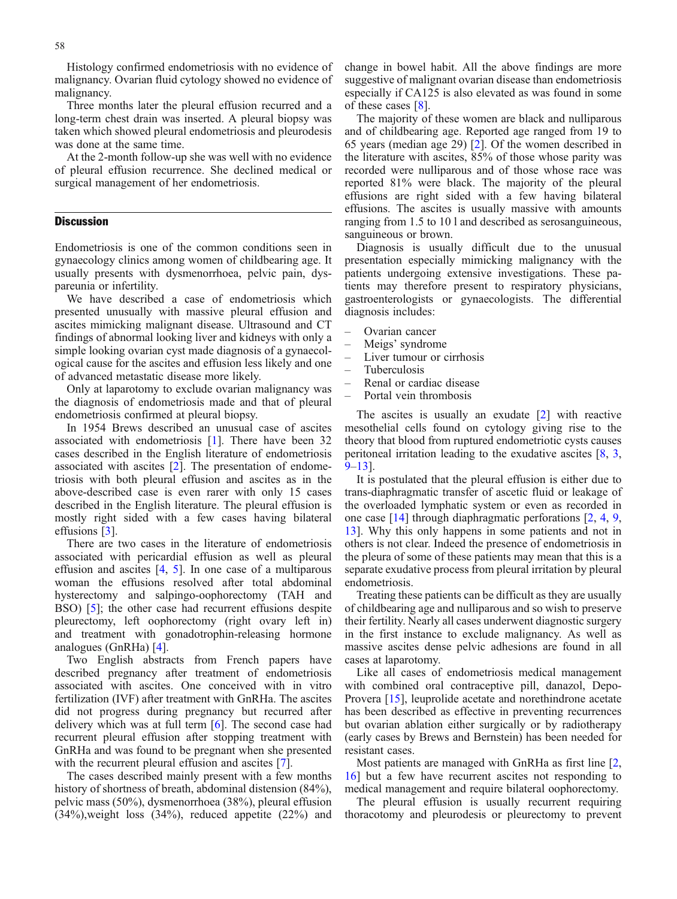Three months later the pleural effusion recurred and a long-term chest drain was inserted. A pleural biopsy was taken which showed pleural endometriosis and pleurodesis was done at the same time.

At the 2-month follow-up she was well with no evidence of pleural effusion recurrence. She declined medical or surgical management of her endometriosis.

## **Discussion**

Endometriosis is one of the common conditions seen in gynaecology clinics among women of childbearing age. It usually presents with dysmenorrhoea, pelvic pain, dyspareunia or infertility.

We have described a case of endometriosis which presented unusually with massive pleural effusion and ascites mimicking malignant disease. Ultrasound and CT findings of abnormal looking liver and kidneys with only a simple looking ovarian cyst made diagnosis of a gynaecological cause for the ascites and effusion less likely and one of advanced metastatic disease more likely.

Only at laparotomy to exclude ovarian malignancy was the diagnosis of endometriosis made and that of pleural endometriosis confirmed at pleural biopsy.

In 1954 Brews described an unusual case of ascites associated with endometriosis [\[1](#page-2-0)]. There have been 32 cases described in the English literature of endometriosis associated with ascites [\[2\]](#page-2-0). The presentation of endometriosis with both pleural effusion and ascites as in the above-described case is even rarer with only 15 cases described in the English literature. The pleural effusion is mostly right sided with a few cases having bilateral effusions [[3\]](#page-2-0).

There are two cases in the literature of endometriosis associated with pericardial effusion as well as pleural effusion and ascites  $[4, 5]$  $[4, 5]$  $[4, 5]$  $[4, 5]$ . In one case of a multiparous woman the effusions resolved after total abdominal hysterectomy and salpingo-oophorectomy (TAH and BSO) [\[5\]](#page-2-0); the other case had recurrent effusions despite pleurectomy, left oophorectomy (right ovary left in) and treatment with gonadotrophin-releasing hormone analogues (GnRHa) [[4\]](#page-2-0).

Two English abstracts from French papers have described pregnancy after treatment of endometriosis associated with ascites. One conceived with in vitro fertilization (IVF) after treatment with GnRHa. The ascites did not progress during pregnancy but recurred after delivery which was at full term [[6](#page-2-0)]. The second case had recurrent pleural effusion after stopping treatment with GnRHa and was found to be pregnant when she presented with the recurrent pleural effusion and ascites [[7\]](#page-2-0).

The cases described mainly present with a few months history of shortness of breath, abdominal distension (84%), pelvic mass (50%), dysmenorrhoea (38%), pleural effusion  $(34%)$ , weight loss  $(34%)$ , reduced appetite  $(22%)$  and change in bowel habit. All the above findings are more suggestive of malignant ovarian disease than endometriosis especially if CA125 is also elevated as was found in some of these cases [[8\]](#page-2-0).

The majority of these women are black and nulliparous and of childbearing age. Reported age ranged from 19 to 65 years (median age 29) [\[2\]](#page-2-0). Of the women described in the literature with ascites, 85% of those whose parity was recorded were nulliparous and of those whose race was reported 81% were black. The majority of the pleural effusions are right sided with a few having bilateral effusions. The ascites is usually massive with amounts ranging from 1.5 to 10 l and described as serosanguineous, sanguineous or brown.

Diagnosis is usually difficult due to the unusual presentation especially mimicking malignancy with the patients undergoing extensive investigations. These patients may therefore present to respiratory physicians, gastroenterologists or gynaecologists. The differential diagnosis includes:

- Ovarian cancer
- Meigs' syndrome
- Liver tumour or cirrhosis
- Tuberculosis
- Renal or cardiac disease
- Portal vein thrombosis

The ascites is usually an exudate [[2\]](#page-2-0) with reactive mesothelial cells found on cytology giving rise to the theory that blood from ruptured endometriotic cysts causes peritoneal irritation leading to the exudative ascites [[8](#page-2-0), [3](#page-2-0), [9](#page-2-0)–[13](#page-2-0)].

It is postulated that the pleural effusion is either due to trans-diaphragmatic transfer of ascetic fluid or leakage of the overloaded lymphatic system or even as recorded in one case [[14](#page-2-0)] through diaphragmatic perforations [\[2](#page-2-0), [4](#page-2-0), [9](#page-2-0), [13\]](#page-2-0). Why this only happens in some patients and not in others is not clear. Indeed the presence of endometriosis in the pleura of some of these patients may mean that this is a separate exudative process from pleural irritation by pleural endometriosis.

Treating these patients can be difficult as they are usually of childbearing age and nulliparous and so wish to preserve their fertility. Nearly all cases underwent diagnostic surgery in the first instance to exclude malignancy. As well as massive ascites dense pelvic adhesions are found in all cases at laparotomy.

Like all cases of endometriosis medical management with combined oral contraceptive pill, danazol, Depo-Provera [\[15\]](#page-2-0), leuprolide acetate and norethindrone acetate has been described as effective in preventing recurrences but ovarian ablation either surgically or by radiotherapy (early cases by Brews and Bernstein) has been needed for resistant cases.

Most patients are managed with GnRHa as first line [\[2](#page-2-0), [16\]](#page-2-0) but a few have recurrent ascites not responding to medical management and require bilateral oophorectomy.

The pleural effusion is usually recurrent requiring thoracotomy and pleurodesis or pleurectomy to prevent